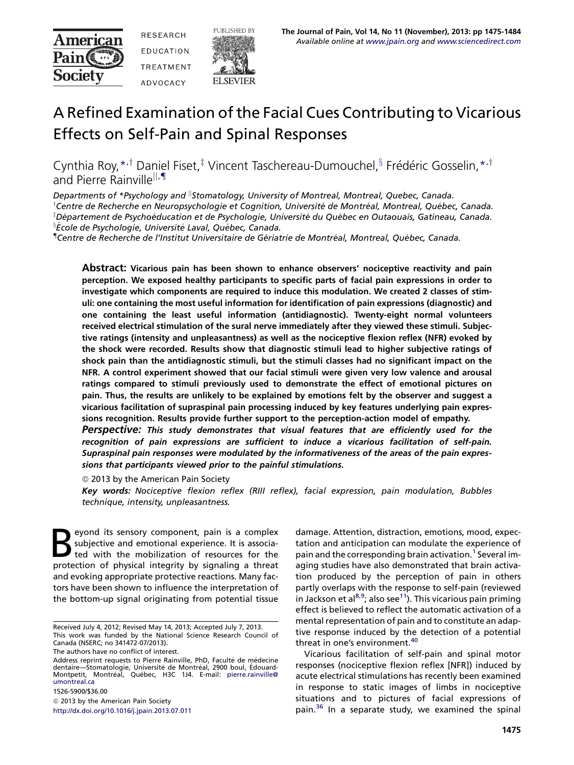American **Pain C** Society

**RESEARCH** EDUCATION **TREATMENT ADVOCACY** 

# A Refined Examination of the Facial Cues Contributing to Vicarious Effects on Self-Pain and Spinal Responses

Cynthia Roy,  $\star$ , † Daniel Fiset,  $\ddagger$  Vincent Taschereau-Dumouchel, § Frédéric Gosselin,  $\star$ , † and Pierre Rainville<sup>ll, ¶</sup>

Departments of \*Psychology and <sup>||</sup>Stomatology, University of Montreal, Montreal, Quebec, Canada. <sup>†</sup>Centre de Recherche en Neuropsychologie et Cognition, Université de Montréal, Montreal, Québec, Canada.  $^\ddagger$ Département de Psychoéducation et de Psychologie, Université du Québec en Outaouais, Gatineau, Canada.  ${}^{\S}\!$ École de Psychologie, Université Laval, Québec, Canada.

Icentre de Recherche de l'Institut Universitaire de Gériatrie de Montréal, Montreal, Québec, Canada.

PUBLISHED BY

**ELSEVIER** 

Abstract: Vicarious pain has been shown to enhance observers' nociceptive reactivity and pain perception. We exposed healthy participants to specific parts of facial pain expressions in order to investigate which components are required to induce this modulation. We created 2 classes of stimuli: one containing the most useful information for identification of pain expressions (diagnostic) and one containing the least useful information (antidiagnostic). Twenty-eight normal volunteers received electrical stimulation of the sural nerve immediately after they viewed these stimuli. Subjective ratings (intensity and unpleasantness) as well as the nociceptive flexion reflex (NFR) evoked by the shock were recorded. Results show that diagnostic stimuli lead to higher subjective ratings of shock pain than the antidiagnostic stimuli, but the stimuli classes had no significant impact on the NFR. A control experiment showed that our facial stimuli were given very low valence and arousal ratings compared to stimuli previously used to demonstrate the effect of emotional pictures on pain. Thus, the results are unlikely to be explained by emotions felt by the observer and suggest a vicarious facilitation of supraspinal pain processing induced by key features underlying pain expressions recognition. Results provide further support to the perception-action model of empathy. Perspective: This study demonstrates that visual features that are efficiently used for the recognition of pain expressions are sufficient to induce a vicarious facilitation of self-pain. Supraspinal pain responses were modulated by the informativeness of the areas of the pain expres-

sions that participants viewed prior to the painful stimulations.

<sup>©</sup> 2013 by the American Pain Society

Key words: Nociceptive flexion reflex (RIII reflex), facial expression, pain modulation, Bubbles technique, intensity, unpleasantness.

**B**eyond its sensory component, pain is a complex<br>subjective and emotional experience. It is associa-<br>ted with the mobilization of resources for the<br>protection of physical integrity by signaling a threat subjective and emotional experience. It is associaprotection of physical integrity by signaling a threat and evoking appropriate protective reactions. Many factors have been shown to influence the interpretation of the bottom-up signal originating from potential tissue

1526-5900/\$36.00  $@$  2013 by the American Pain Society <http://dx.doi.org/10.1016/j.jpain.2013.07.011>

damage. Attention, distraction, emotions, mood, expectation and anticipation can modulate the experience of pain and the corresponding brain activation.<sup>[1](#page-8-0)</sup> Several imaging studies have also demonstrated that brain activation produced by the perception of pain in others partly overlaps with the response to self-pain (reviewed in Jackson et al $^{8,9}$  $^{8,9}$  $^{8,9}$ ; also see<sup>[11](#page-9-0)</sup>). This vicarious pain priming effect is believed to reflect the automatic activation of a mental representation of pain and to constitute an adaptive response induced by the detection of a potential threat in one's environment.<sup>[40](#page-9-0)</sup>

Vicarious facilitation of self-pain and spinal motor responses (nociceptive flexion reflex [NFR]) induced by acute electrical stimulations has recently been examined in response to static images of limbs in nociceptive situations and to pictures of facial expressions of pain.<sup>[36](#page-9-0)</sup> In a separate study, we examined the spinal

Received July 4, 2012; Revised May 14, 2013; Accepted July 7, 2013. This work was funded by the National Science Research Council of Canada (NSERC; no 341472-07/2013).

The authors have no conflict of interest.

Address reprint requests to Pierre Rainville, PhD, Faculté de médecine dentaire—Stomatologie, Université de Montréal, 2900 boul, ÉdouardMontpetit, Montréal, Québec, H3C 1J4. E-mail: [pierre.rainville@](mailto:pierre.rainville@umontreal.ca) [umontreal.ca](mailto:pierre.rainville@umontreal.ca)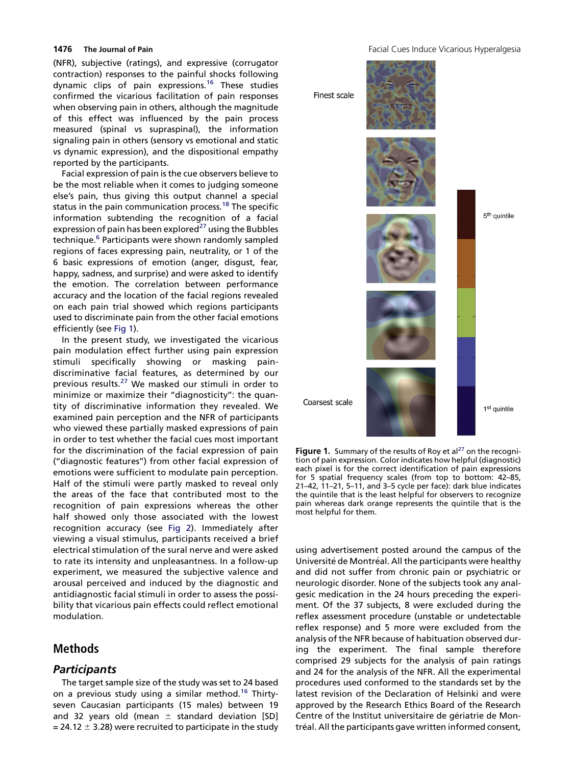(NFR), subjective (ratings), and expressive (corrugator contraction) responses to the painful shocks following dynamic clips of pain expressions.<sup>[16](#page-9-0)</sup> These studies confirmed the vicarious facilitation of pain responses when observing pain in others, although the magnitude of this effect was influenced by the pain process measured (spinal vs supraspinal), the information signaling pain in others (sensory vs emotional and static vs dynamic expression), and the dispositional empathy reported by the participants.

Facial expression of pain is the cue observers believe to be the most reliable when it comes to judging someone else's pain, thus giving this output channel a special status in the pain communication process.<sup>[18](#page-9-0)</sup> The specific information subtending the recognition of a facial expression of pain has been explored $27$  using the Bubbles technique.<sup>[6](#page-9-0)</sup> Participants were shown randomly sampled regions of faces expressing pain, neutrality, or 1 of the 6 basic expressions of emotion (anger, disgust, fear, happy, sadness, and surprise) and were asked to identify the emotion. The correlation between performance accuracy and the location of the facial regions revealed on each pain trial showed which regions participants used to discriminate pain from the other facial emotions efficiently (see Fig 1).

In the present study, we investigated the vicarious pain modulation effect further using pain expression stimuli specifically showing or masking paindiscriminative facial features, as determined by our previous results.[27](#page-9-0) We masked our stimuli in order to minimize or maximize their ''diagnosticity'': the quantity of discriminative information they revealed. We examined pain perception and the NFR of participants who viewed these partially masked expressions of pain in order to test whether the facial cues most important for the discrimination of the facial expression of pain (''diagnostic features'') from other facial expression of emotions were sufficient to modulate pain perception. Half of the stimuli were partly masked to reveal only the areas of the face that contributed most to the recognition of pain expressions whereas the other half showed only those associated with the lowest recognition accuracy (see [Fig 2\)](#page-2-0). Immediately after viewing a visual stimulus, participants received a brief electrical stimulation of the sural nerve and were asked to rate its intensity and unpleasantness. In a follow-up experiment, we measured the subjective valence and arousal perceived and induced by the diagnostic and antidiagnostic facial stimuli in order to assess the possibility that vicarious pain effects could reflect emotional modulation.

# Methods

#### Participants

The target sample size of the study was set to 24 based on a previous study using a similar method.<sup>[16](#page-9-0)</sup> Thirtyseven Caucasian participants (15 males) between 19 and 32 years old (mean  $\pm$  standard deviation [SD]  $= 24.12 \pm 3.28$ ) were recruited to participate in the study

<span id="page-1-0"></span>1476 The Journal of Pain Facial Cues Induce Vicarious Hyperalgesia



**Figure 1.** Summary of the results of Roy et al<sup>27</sup> on the recognition of pain expression. Color indicates how helpful (diagnostic) each pixel is for the correct identification of pain expressions for 5 spatial frequency scales (from top to bottom: 42–85, 21–42, 11–21, 5–11, and 3–5 cycle per face): dark blue indicates the quintile that is the least helpful for observers to recognize pain whereas dark orange represents the quintile that is the most helpful for them.

using advertisement posted around the campus of the Université de Montréal. All the participants were healthy and did not suffer from chronic pain or psychiatric or neurologic disorder. None of the subjects took any analgesic medication in the 24 hours preceding the experiment. Of the 37 subjects, 8 were excluded during the reflex assessment procedure (unstable or undetectable reflex response) and 5 more were excluded from the analysis of the NFR because of habituation observed during the experiment. The final sample therefore comprised 29 subjects for the analysis of pain ratings and 24 for the analysis of the NFR. All the experimental procedures used conformed to the standards set by the latest revision of the Declaration of Helsinki and were approved by the Research Ethics Board of the Research Centre of the Institut universitaire de gériatrie de Montréal. All the participants gave written informed consent,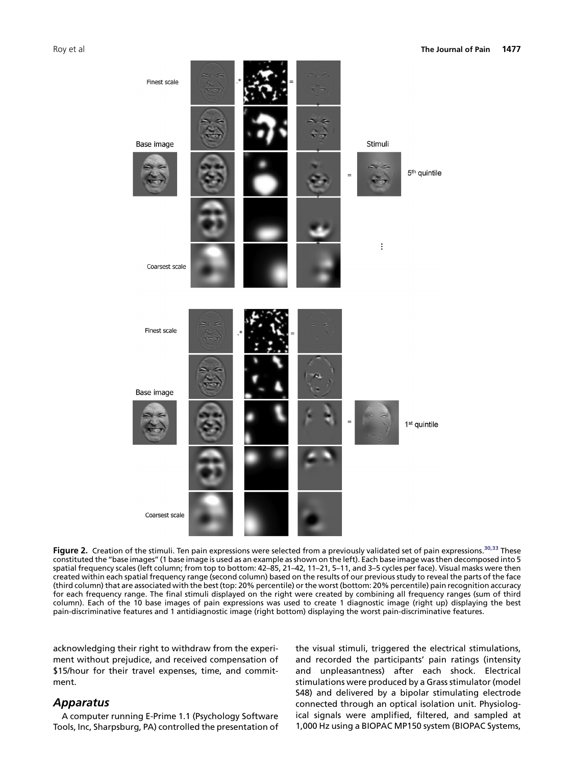<span id="page-2-0"></span>

Figure 2. Creation of the stimuli. Ten pain expressions were selected from a previously validated set of pain expressions.<sup>30,33</sup> These constituted the ''base images'' (1 base image is used as an example as shown on the left). Each base image was then decomposed into 5 spatial frequency scales (left column; from top to bottom: 42–85, 21–42, 11–21, 5–11, and 3–5 cycles per face). Visual masks were then created within each spatial frequency range (second column) based on the results of our previous study to reveal the parts of the face (third column) that are associated with the best (top: 20% percentile) or the worst (bottom: 20% percentile) pain recognition accuracy for each frequency range. The final stimuli displayed on the right were created by combining all frequency ranges (sum of third column). Each of the 10 base images of pain expressions was used to create 1 diagnostic image (right up) displaying the best pain-discriminative features and 1 antidiagnostic image (right bottom) displaying the worst pain-discriminative features.

acknowledging their right to withdraw from the experiment without prejudice, and received compensation of \$15/hour for their travel expenses, time, and commitment.

### Apparatus

A computer running E-Prime 1.1 (Psychology Software Tools, Inc, Sharpsburg, PA) controlled the presentation of the visual stimuli, triggered the electrical stimulations, and recorded the participants' pain ratings (intensity and unpleasantness) after each shock. Electrical stimulations were produced by a Grass stimulator (model S48) and delivered by a bipolar stimulating electrode connected through an optical isolation unit. Physiological signals were amplified, filtered, and sampled at 1,000 Hz using a BIOPAC MP150 system (BIOPAC Systems,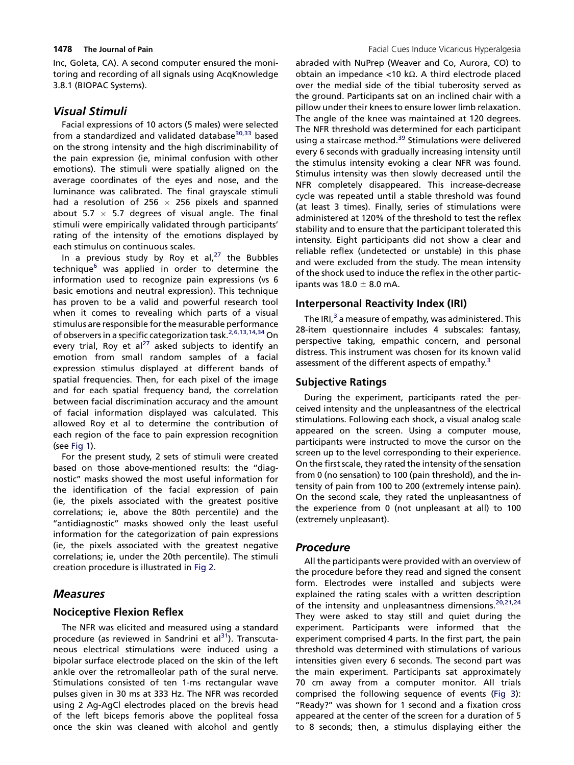Inc, Goleta, CA). A second computer ensured the monitoring and recording of all signals using AcqKnowledge 3.8.1 (BIOPAC Systems).

### Visual Stimuli

Facial expressions of 10 actors (5 males) were selected from a standardized and validated database $30,33$  based on the strong intensity and the high discriminability of the pain expression (ie, minimal confusion with other emotions). The stimuli were spatially aligned on the average coordinates of the eyes and nose, and the luminance was calibrated. The final grayscale stimuli had a resolution of 256  $\times$  256 pixels and spanned about 5.7  $\times$  5.7 degrees of visual angle. The final stimuli were empirically validated through participants' rating of the intensity of the emotions displayed by each stimulus on continuous scales.

In a previous study by Roy et  $al^{27}$ , the Bubbles technique<sup>[6](#page-9-0)</sup> was applied in order to determine the information used to recognize pain expressions (vs 6 basic emotions and neutral expression). This technique has proven to be a valid and powerful research tool when it comes to revealing which parts of a visual stimulus are responsible for the measurable performance of observers in a specific categorization task.<sup>[2,6,13,14,34](#page-8-0)</sup> On every trial, Roy et al<sup>[27](#page-9-0)</sup> asked subjects to identify an emotion from small random samples of a facial expression stimulus displayed at different bands of spatial frequencies. Then, for each pixel of the image and for each spatial frequency band, the correlation between facial discrimination accuracy and the amount of facial information displayed was calculated. This allowed Roy et al to determine the contribution of each region of the face to pain expression recognition (see [Fig 1\)](#page-1-0).

For the present study, 2 sets of stimuli were created based on those above-mentioned results: the "diagnostic'' masks showed the most useful information for the identification of the facial expression of pain (ie, the pixels associated with the greatest positive correlations; ie, above the 80th percentile) and the "antidiagnostic" masks showed only the least useful information for the categorization of pain expressions (ie, the pixels associated with the greatest negative correlations; ie, under the 20th percentile). The stimuli creation procedure is illustrated in [Fig 2.](#page-2-0)

### **Measures**

#### Nociceptive Flexion Reflex

The NFR was elicited and measured using a standard procedure (as reviewed in Sandrini et  $al<sup>31</sup>$  $al<sup>31</sup>$  $al<sup>31</sup>$ ). Transcutaneous electrical stimulations were induced using a bipolar surface electrode placed on the skin of the left ankle over the retromalleolar path of the sural nerve. Stimulations consisted of ten 1-ms rectangular wave pulses given in 30 ms at 333 Hz. The NFR was recorded using 2 Ag-AgCl electrodes placed on the brevis head of the left biceps femoris above the popliteal fossa once the skin was cleaned with alcohol and gently

abraded with NuPrep (Weaver and Co, Aurora, CO) to obtain an impedance <10 k $\Omega$ . A third electrode placed over the medial side of the tibial tuberosity served as the ground. Participants sat on an inclined chair with a pillow under their knees to ensure lower limb relaxation. The angle of the knee was maintained at 120 degrees. The NFR threshold was determined for each participant using a staircase method.<sup>[39](#page-9-0)</sup> Stimulations were delivered every 6 seconds with gradually increasing intensity until the stimulus intensity evoking a clear NFR was found. Stimulus intensity was then slowly decreased until the NFR completely disappeared. This increase-decrease cycle was repeated until a stable threshold was found (at least 3 times). Finally, series of stimulations were administered at 120% of the threshold to test the reflex stability and to ensure that the participant tolerated this intensity. Eight participants did not show a clear and reliable reflex (undetected or unstable) in this phase and were excluded from the study. The mean intensity of the shock used to induce the reflex in the other participants was  $18.0 \pm 8.0$  mA.

#### Interpersonal Reactivity Index (IRI)

The IRI, $3$  a measure of empathy, was administered. This 28-item questionnaire includes 4 subscales: fantasy, perspective taking, empathic concern, and personal distress. This instrument was chosen for its known valid assessment of the different aspects of empathy.<sup>3</sup>

#### Subjective Ratings

During the experiment, participants rated the perceived intensity and the unpleasantness of the electrical stimulations. Following each shock, a visual analog scale appeared on the screen. Using a computer mouse, participants were instructed to move the cursor on the screen up to the level corresponding to their experience. On the first scale, they rated the intensity of the sensation from 0 (no sensation) to 100 (pain threshold), and the intensity of pain from 100 to 200 (extremely intense pain). On the second scale, they rated the unpleasantness of the experience from 0 (not unpleasant at all) to 100 (extremely unpleasant).

### Procedure

All the participants were provided with an overview of the procedure before they read and signed the consent form. Electrodes were installed and subjects were explained the rating scales with a written description of the intensity and unpleasantness dimensions.<sup>[20,21,24](#page-9-0)</sup> They were asked to stay still and quiet during the experiment. Participants were informed that the experiment comprised 4 parts. In the first part, the pain threshold was determined with stimulations of various intensities given every 6 seconds. The second part was the main experiment. Participants sat approximately 70 cm away from a computer monitor. All trials comprised the following sequence of events [\(Fig 3\)](#page-4-0): "Ready?" was shown for 1 second and a fixation cross appeared at the center of the screen for a duration of 5 to 8 seconds; then, a stimulus displaying either the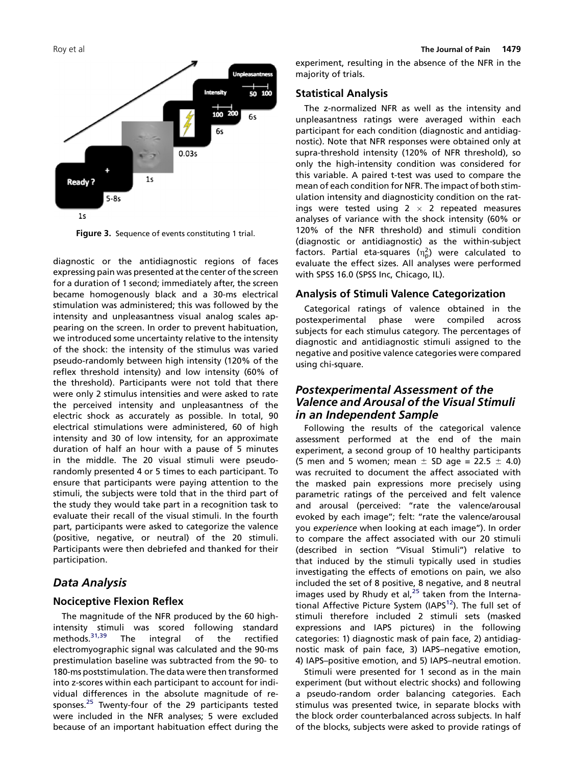<span id="page-4-0"></span>



Figure 3. Sequence of events constituting 1 trial.

diagnostic or the antidiagnostic regions of faces expressing pain was presented at the center of the screen for a duration of 1 second; immediately after, the screen became homogenously black and a 30-ms electrical stimulation was administered; this was followed by the intensity and unpleasantness visual analog scales appearing on the screen. In order to prevent habituation, we introduced some uncertainty relative to the intensity of the shock: the intensity of the stimulus was varied pseudo-randomly between high intensity (120% of the reflex threshold intensity) and low intensity (60% of the threshold). Participants were not told that there were only 2 stimulus intensities and were asked to rate the perceived intensity and unpleasantness of the electric shock as accurately as possible. In total, 90 electrical stimulations were administered, 60 of high intensity and 30 of low intensity, for an approximate duration of half an hour with a pause of 5 minutes in the middle. The 20 visual stimuli were pseudorandomly presented 4 or 5 times to each participant. To ensure that participants were paying attention to the stimuli, the subjects were told that in the third part of the study they would take part in a recognition task to evaluate their recall of the visual stimuli. In the fourth part, participants were asked to categorize the valence (positive, negative, or neutral) of the 20 stimuli. Participants were then debriefed and thanked for their participation.

# Data Analysis

### Nociceptive Flexion Reflex

The magnitude of the NFR produced by the 60 highintensity stimuli was scored following standard methods.<sup>[31,39](#page-9-0)</sup> The integral of the rectified electromyographic signal was calculated and the 90-ms prestimulation baseline was subtracted from the 90- to 180-ms poststimulation. The data were then transformed into z-scores within each participant to account for individual differences in the absolute magnitude of re-sponses.<sup>[25](#page-9-0)</sup> Twenty-four of the 29 participants tested were included in the NFR analyses; 5 were excluded because of an important habituation effect during the

experiment, resulting in the absence of the NFR in the majority of trials.

### Statistical Analysis

The z-normalized NFR as well as the intensity and unpleasantness ratings were averaged within each participant for each condition (diagnostic and antidiagnostic). Note that NFR responses were obtained only at supra-threshold intensity (120% of NFR threshold), so only the high-intensity condition was considered for this variable. A paired t-test was used to compare the mean of each condition for NFR. The impact of both stimulation intensity and diagnosticity condition on the ratings were tested using 2  $\times$  2 repeated measures analyses of variance with the shock intensity (60% or 120% of the NFR threshold) and stimuli condition (diagnostic or antidiagnostic) as the within-subject factors. Partial eta-squares  $(n_p^2)$  were calculated to evaluate the effect sizes. All analyses were performed with SPSS 16.0 (SPSS Inc, Chicago, IL).

### Analysis of Stimuli Valence Categorization

Categorical ratings of valence obtained in the postexperimental phase were compiled across subjects for each stimulus category. The percentages of diagnostic and antidiagnostic stimuli assigned to the negative and positive valence categories were compared using chi-square.

# Postexperimental Assessment of the Valence and Arousal of the Visual Stimuli in an Independent Sample

Following the results of the categorical valence assessment performed at the end of the main experiment, a second group of 10 healthy participants (5 men and 5 women; mean  $\pm$  SD age = 22.5  $\pm$  4.0) was recruited to document the affect associated with the masked pain expressions more precisely using parametric ratings of the perceived and felt valence and arousal (perceived: "rate the valence/arousal evoked by each image''; felt: ''rate the valence/arousal you experience when looking at each image''). In order to compare the affect associated with our 20 stimuli (described in section ''Visual Stimuli'') relative to that induced by the stimuli typically used in studies investigating the effects of emotions on pain, we also included the set of 8 positive, 8 negative, and 8 neutral images used by Rhudy et al, $^{25}$  $^{25}$  $^{25}$  taken from the International Affective Picture System (IAPS<sup>12</sup>). The full set of stimuli therefore included 2 stimuli sets (masked expressions and IAPS pictures) in the following categories: 1) diagnostic mask of pain face, 2) antidiagnostic mask of pain face, 3) IAPS–negative emotion, 4) IAPS–positive emotion, and 5) IAPS–neutral emotion.

Stimuli were presented for 1 second as in the main experiment (but without electric shocks) and following a pseudo-random order balancing categories. Each stimulus was presented twice, in separate blocks with the block order counterbalanced across subjects. In half of the blocks, subjects were asked to provide ratings of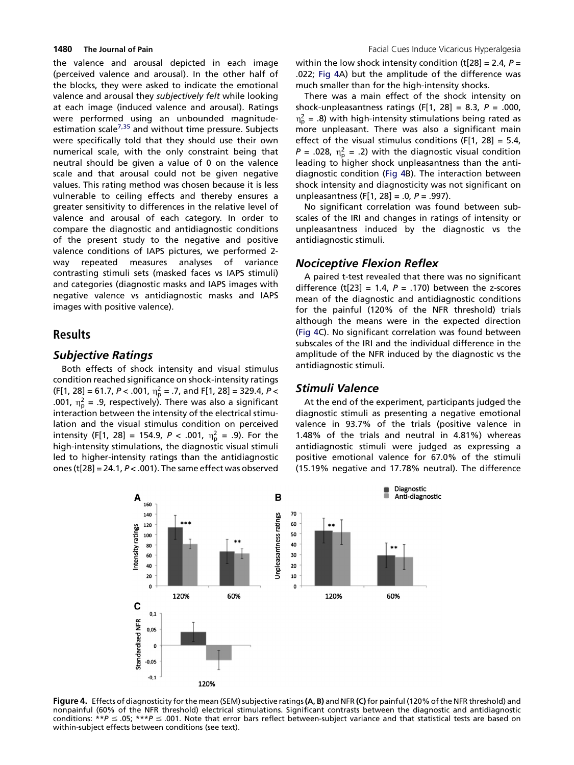the valence and arousal depicted in each image (perceived valence and arousal). In the other half of the blocks, they were asked to indicate the emotional valence and arousal they subjectively felt while looking at each image (induced valence and arousal). Ratings were performed using an unbounded magnitude-estimation scale<sup>[7,35](#page-9-0)</sup> and without time pressure. Subjects were specifically told that they should use their own numerical scale, with the only constraint being that neutral should be given a value of 0 on the valence scale and that arousal could not be given negative values. This rating method was chosen because it is less vulnerable to ceiling effects and thereby ensures a greater sensitivity to differences in the relative level of valence and arousal of each category. In order to compare the diagnostic and antidiagnostic conditions of the present study to the negative and positive valence conditions of IAPS pictures, we performed 2 way repeated measures analyses of variance contrasting stimuli sets (masked faces vs IAPS stimuli) and categories (diagnostic masks and IAPS images with negative valence vs antidiagnostic masks and IAPS images with positive valence).

# Results

# Subjective Ratings

Both effects of shock intensity and visual stimulus condition reached significance on shock-intensity ratings (F[1, 28] = 61.7, P < .001,  $\eta_{\rm p}^2$  = .7, and F[1, 28] = 329.4, P < .001,  $\eta_{\sf p}^2$  = .9, respectively). There was also a significant interaction between the intensity of the electrical stimulation and the visual stimulus condition on perceived intensity (F[1, 28] = 154.9, *P* < .001,  $\eta_{p}^{2}$  = .9). For the high-intensity stimulations, the diagnostic visual stimuli led to higher-intensity ratings than the antidiagnostic ones ( $t[28]$  = 24.1,  $P < .001$ ). The same effect was observed

within the low shock intensity condition (t[28] = 2.4,  $P =$ .022; Fig 4A) but the amplitude of the difference was much smaller than for the high-intensity shocks.

There was a main effect of the shock intensity on shock-unpleasantness ratings (F[1, 28] = 8.3,  $P = .000$ ,  $\eta_{\rm p}^2$  = .8) with high-intensity stimulations being rated as more unpleasant. There was also a significant main effect of the visual stimulus conditions (F[1, 28] = 5.4, P = .028,  $\eta_p^2$  = .2) with the diagnostic visual condition leading to higher shock unpleasantness than the antidiagnostic condition (Fig 4B). The interaction between shock intensity and diagnosticity was not significant on unpleasantness (F[1, 28] = .0,  $P = .997$ ).

No significant correlation was found between subscales of the IRI and changes in ratings of intensity or unpleasantness induced by the diagnostic vs the antidiagnostic stimuli.

#### Nociceptive Flexion Reflex

A paired t-test revealed that there was no significant difference (t[23] = 1.4,  $P = .170$ ) between the z-scores mean of the diagnostic and antidiagnostic conditions for the painful (120% of the NFR threshold) trials although the means were in the expected direction (Fig 4C). No significant correlation was found between subscales of the IRI and the individual difference in the amplitude of the NFR induced by the diagnostic vs the antidiagnostic stimuli.

#### Stimuli Valence

At the end of the experiment, participants judged the diagnostic stimuli as presenting a negative emotional valence in 93.7% of the trials (positive valence in 1.48% of the trials and neutral in 4.81%) whereas antidiagnostic stimuli were judged as expressing a positive emotional valence for 67.0% of the stimuli (15.19% negative and 17.78% neutral). The difference



Figure 4. Effects of diagnosticity for the mean (SEM) subjective ratings (A, B) and NFR (C) for painful (120% of the NFR threshold) and nonpainful (60% of the NFR threshold) electrical stimulations. Significant contrasts between the diagnostic and antidiagnostic conditions: \*\*P  $\leq$  .05; \*\*\*P  $\leq$  .001. Note that error bars reflect between-subject variance and that statistical tests are based on within-subject effects between conditions (see text).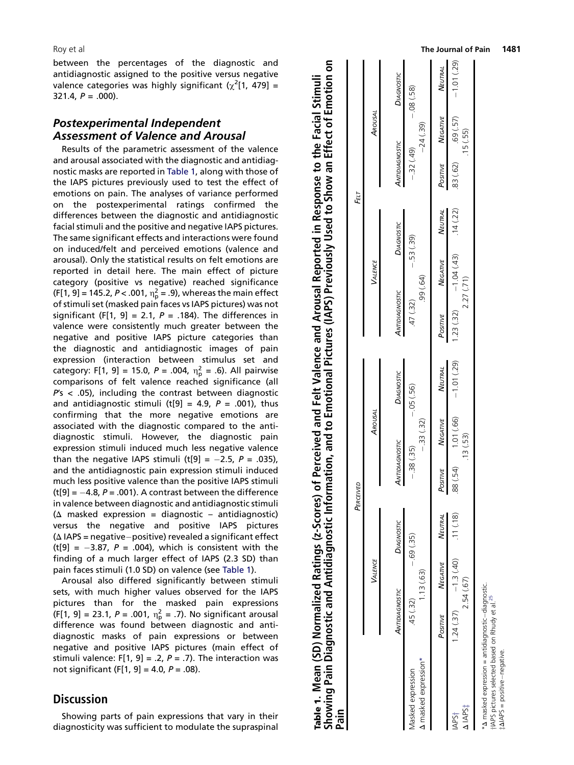# Postexperimental Independent Assessment of Valence and Arousal

# **Discussion**

Showing parts of pain expressions that vary in their diagnosticity was sufficient to modulate the supraspinal

| Roy et al                                                                                                                                                                                                                                                                                                                                                                                                                                                                                                                                                                                                                                                                                                                                                                                                                                                                                                                                                                                                                                                                                                                                                                                                                                                                                                                                                                                                                                                                                                                                                                                                                                                                                                                                                                                                                                                                                                                                             |           |         | The Journal of Pain |                      |                     |                                          | 1481                                                                                                             |                     |
|-------------------------------------------------------------------------------------------------------------------------------------------------------------------------------------------------------------------------------------------------------------------------------------------------------------------------------------------------------------------------------------------------------------------------------------------------------------------------------------------------------------------------------------------------------------------------------------------------------------------------------------------------------------------------------------------------------------------------------------------------------------------------------------------------------------------------------------------------------------------------------------------------------------------------------------------------------------------------------------------------------------------------------------------------------------------------------------------------------------------------------------------------------------------------------------------------------------------------------------------------------------------------------------------------------------------------------------------------------------------------------------------------------------------------------------------------------------------------------------------------------------------------------------------------------------------------------------------------------------------------------------------------------------------------------------------------------------------------------------------------------------------------------------------------------------------------------------------------------------------------------------------------------------------------------------------------------|-----------|---------|---------------------|----------------------|---------------------|------------------------------------------|------------------------------------------------------------------------------------------------------------------|---------------------|
| between the percentages of the diagnostic and<br>antidiagnostic assigned to the positive versus negative<br>valence categories was highly significant ( $\chi^2$ [1, 479] =<br>321.4, $P = .000$ ).                                                                                                                                                                                                                                                                                                                                                                                                                                                                                                                                                                                                                                                                                                                                                                                                                                                                                                                                                                                                                                                                                                                                                                                                                                                                                                                                                                                                                                                                                                                                                                                                                                                                                                                                                   |           |         | <b>DIAGNOSTIC</b>   | 08(.58)              | NEUTRAL             | $-1.01(29)$                              |                                                                                                                  |                     |
| Postexperimental Independent<br><b>Assessment of Valence and Arousal</b>                                                                                                                                                                                                                                                                                                                                                                                                                                                                                                                                                                                                                                                                                                                                                                                                                                                                                                                                                                                                                                                                                                                                                                                                                                                                                                                                                                                                                                                                                                                                                                                                                                                                                                                                                                                                                                                                              |           | AROUSAL |                     | 24 (.39)             | NEGATIVE            | $.69(.57)$<br>15 $(.55)$                 |                                                                                                                  |                     |
| Results of the parametric assessment of the valence<br>and arousal associated with the diagnostic and antidiag-<br>nostic masks are reported in Table 1, along with those of<br>the IAPS pictures previously used to test the effect of<br>emotions on pain. The analyses of variance performed                                                                                                                                                                                                                                                                                                                                                                                                                                                                                                                                                                                                                                                                                                                                                                                                                                                                                                                                                                                                                                                                                                                                                                                                                                                                                                                                                                                                                                                                                                                                                                                                                                                       | FELT      |         | ANTIDIAGNOSTIC      | 32 (.49)             | Positive            | .83(.62)                                 |                                                                                                                  |                     |
| (SD) Normalized Ratings (z-Scores) of Perceived and Felt Valence and Arousal Reported in Response to the Facial Stimuli<br>Diagnostic and Antidiagnostic Information, and to Emotional Pictures (IAPS) Previously Used to Show an<br>on the postexperimental ratings confirmed the<br>differences between the diagnostic and antidiagnostic<br>facial stimuli and the positive and negative IAPS pictures.<br>The same significant effects and interactions were found<br>on induced/felt and perceived emotions (valence and<br>arousal). Only the statistical results on felt emotions are<br>reported in detail here. The main effect of picture<br>category (positive vs negative) reached significance<br>(F[1, 9] = 145.2, P < .001, $\eta_{\rm p}^2$ = .9), whereas the main effect<br>of stimuli set (masked pain faces vs IAPS pictures) was not<br>significant (F[1, 9] = 2.1, $P = .184$ ). The differences in<br>valence were consistently much greater between the<br>negative and positive IAPS picture categories than<br>the diagnostic and antidiagnostic images of pain<br>expression (interaction between stimulus set and<br>category: F[1, 9] = 15.0, P = .004, $\eta_{\rm p}^2$ = .6). All pairwise<br>comparisons of felt valence reached significance (all<br>$P's < .05$ ), including the contrast between diagnostic<br>and antidiagnostic stimuli (t[9] = 4.9, $P = .001$ ), thus<br>confirming that the more negative emotions are<br>associated with the diagnostic compared to the anti-<br>diagnostic stimuli. However, the diagnostic pain<br>expression stimuli induced much less negative valence<br>than the negative IAPS stimuli (t[9] = $-2.5$ , P = .035),<br>and the antidiagnostic pain expression stimuli induced<br>much less positive valence than the positive IAPS stimuli<br>$(t[9] = -4.8, P = .001)$ . A contrast between the difference<br>in valence between diagnostic and antidiagnostic stimuli |           | VALENCE | DIAGNOSTIC          | .53 (.39)            | NEUTRAL             | 14(.22)                                  |                                                                                                                  |                     |
|                                                                                                                                                                                                                                                                                                                                                                                                                                                                                                                                                                                                                                                                                                                                                                                                                                                                                                                                                                                                                                                                                                                                                                                                                                                                                                                                                                                                                                                                                                                                                                                                                                                                                                                                                                                                                                                                                                                                                       |           |         | ANTIDIAGNOSTIC      | 99 (.64)<br>.47(.32) | NEGATIVE            | $-1.04(.43)$<br>(.71)<br>2.27            |                                                                                                                  |                     |
|                                                                                                                                                                                                                                                                                                                                                                                                                                                                                                                                                                                                                                                                                                                                                                                                                                                                                                                                                                                                                                                                                                                                                                                                                                                                                                                                                                                                                                                                                                                                                                                                                                                                                                                                                                                                                                                                                                                                                       | PERCEIVED |         | <b>DIAGNOSTIC</b>   |                      | POSITIVE<br>NEUTRAL | 1.23(.32)<br>$-1.01(29)$                 |                                                                                                                  |                     |
|                                                                                                                                                                                                                                                                                                                                                                                                                                                                                                                                                                                                                                                                                                                                                                                                                                                                                                                                                                                                                                                                                                                                                                                                                                                                                                                                                                                                                                                                                                                                                                                                                                                                                                                                                                                                                                                                                                                                                       |           | AROUSAL |                     | .05(.56)<br>33 (.32) | NEGATIVE            | (0.53)<br>$\sim$                         |                                                                                                                  |                     |
|                                                                                                                                                                                                                                                                                                                                                                                                                                                                                                                                                                                                                                                                                                                                                                                                                                                                                                                                                                                                                                                                                                                                                                                                                                                                                                                                                                                                                                                                                                                                                                                                                                                                                                                                                                                                                                                                                                                                                       |           |         | ANTIDIAGNOSTIC      | .38(.35)             | POSITIVE            | 54)<br>88                                |                                                                                                                  |                     |
| Table 1. Mean (SD) Normalized Ratings (z-Scores) of<br>Showing Pain Diagnostic and Antidiagnostic Informa<br>Pain<br>$(\Delta$ masked expression = diagnostic - antidiagnostic)<br>versus the negative and positive IAPS pictures<br>$(\Delta$ IAPS = negative-positive) revealed a significant effect<br>(t[9] = $-3.87$ , $P = .004$ ), which is consistent with the                                                                                                                                                                                                                                                                                                                                                                                                                                                                                                                                                                                                                                                                                                                                                                                                                                                                                                                                                                                                                                                                                                                                                                                                                                                                                                                                                                                                                                                                                                                                                                                |           |         | <b>DIAGNOSTIC</b>   | 69 (.35)             | NEUTRAL             | .11(.18)                                 |                                                                                                                  |                     |
| finding of a much larger effect of IAPS (2.3 SD) than<br>pain faces stimuli (1.0 SD) on valence (see Table 1).<br>Arousal also differed significantly between stimuli<br>sets, with much higher values observed for the IAPS                                                                                                                                                                                                                                                                                                                                                                                                                                                                                                                                                                                                                                                                                                                                                                                                                                                                                                                                                                                                                                                                                                                                                                                                                                                                                                                                                                                                                                                                                                                                                                                                                                                                                                                          |           | VALENCE |                     | 3(.63)               | NEGATIVE            | 1.3(40)<br>2.54(.67)                     |                                                                                                                  |                     |
| pictures than for the masked pain expressions<br>(F[1, 9] = 23.1, P = .001, $\eta_p^2$ = .7). No significant arousal<br>difference was found between diagnostic and anti-<br>diagnostic masks of pain expressions or between<br>negative and positive IAPS pictures (main effect of                                                                                                                                                                                                                                                                                                                                                                                                                                                                                                                                                                                                                                                                                                                                                                                                                                                                                                                                                                                                                                                                                                                                                                                                                                                                                                                                                                                                                                                                                                                                                                                                                                                                   |           |         | ANTIDIAGNOSTIC      | 45 (.32)             | POSITIVE            | 1.24(.37)                                | *A masked expression = antidiagnostic–diagnostic.<br>†IAPS pictures selected based on Rhudy et al. <sup>25</sup> |                     |
| stimuli valence: F[1, 9] = .2, $P = .7$ ). The interaction was<br>not significant (F[1, 9] = 4.0, $P = .08$ ).                                                                                                                                                                                                                                                                                                                                                                                                                                                                                                                                                                                                                                                                                                                                                                                                                                                                                                                                                                                                                                                                                                                                                                                                                                                                                                                                                                                                                                                                                                                                                                                                                                                                                                                                                                                                                                        |           |         |                     | A masked expression* |                     |                                          |                                                                                                                  | = positive-negative |
| <b>Discussion</b><br>Showing parts of pain expressions that vary in their<br>diagnosticity was sufficient to modulate the supraspinal                                                                                                                                                                                                                                                                                                                                                                                                                                                                                                                                                                                                                                                                                                                                                                                                                                                                                                                                                                                                                                                                                                                                                                                                                                                                                                                                                                                                                                                                                                                                                                                                                                                                                                                                                                                                                 |           |         |                     | Masked expression    |                     | A IAPS <sub>‡</sub><br>IAPS <sub>T</sub> |                                                                                                                  | E<br>AMR‡           |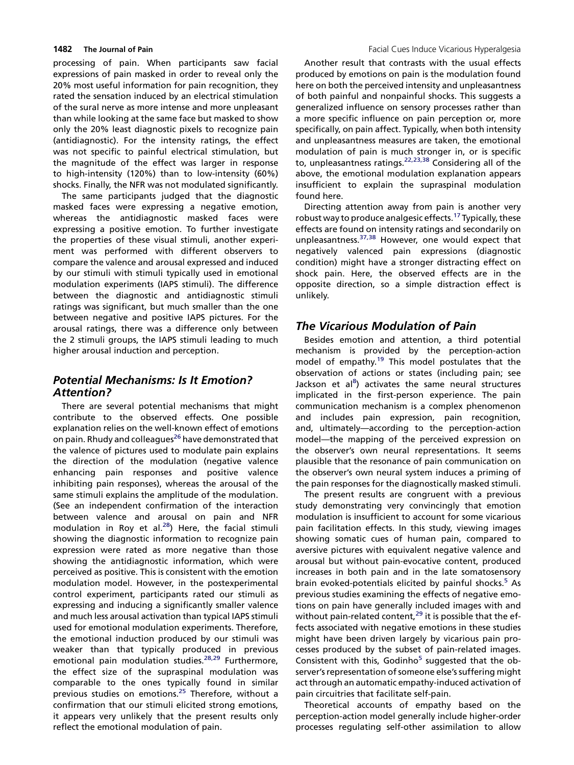processing of pain. When participants saw facial expressions of pain masked in order to reveal only the 20% most useful information for pain recognition, they rated the sensation induced by an electrical stimulation of the sural nerve as more intense and more unpleasant than while looking at the same face but masked to show only the 20% least diagnostic pixels to recognize pain (antidiagnostic). For the intensity ratings, the effect was not specific to painful electrical stimulation, but the magnitude of the effect was larger in response to high-intensity (120%) than to low-intensity (60%) shocks. Finally, the NFR was not modulated significantly.

The same participants judged that the diagnostic masked faces were expressing a negative emotion, whereas the antidiagnostic masked faces were expressing a positive emotion. To further investigate the properties of these visual stimuli, another experiment was performed with different observers to compare the valence and arousal expressed and induced by our stimuli with stimuli typically used in emotional modulation experiments (IAPS stimuli). The difference between the diagnostic and antidiagnostic stimuli ratings was significant, but much smaller than the one between negative and positive IAPS pictures. For the arousal ratings, there was a difference only between the 2 stimuli groups, the IAPS stimuli leading to much higher arousal induction and perception.

# Potential Mechanisms: Is It Emotion? Attention?

There are several potential mechanisms that might contribute to the observed effects. One possible explanation relies on the well-known effect of emotions on pain. Rhudy and colleagues<sup>[26](#page-9-0)</sup> have demonstrated that the valence of pictures used to modulate pain explains the direction of the modulation (negative valence enhancing pain responses and positive valence inhibiting pain responses), whereas the arousal of the same stimuli explains the amplitude of the modulation. (See an independent confirmation of the interaction between valence and arousal on pain and NFR modulation in Roy et al. $^{28}$ ) Here, the facial stimuli showing the diagnostic information to recognize pain expression were rated as more negative than those showing the antidiagnostic information, which were perceived as positive. This is consistent with the emotion modulation model. However, in the postexperimental control experiment, participants rated our stimuli as expressing and inducing a significantly smaller valence and much less arousal activation than typical IAPS stimuli used for emotional modulation experiments. Therefore, the emotional induction produced by our stimuli was weaker than that typically produced in previous emotional pain modulation studies.<sup>[28,29](#page-9-0)</sup> Furthermore. the effect size of the supraspinal modulation was comparable to the ones typically found in similar previous studies on emotions.<sup>[25](#page-9-0)</sup> Therefore, without a confirmation that our stimuli elicited strong emotions, it appears very unlikely that the present results only reflect the emotional modulation of pain.

Another result that contrasts with the usual effects produced by emotions on pain is the modulation found here on both the perceived intensity and unpleasantness of both painful and nonpainful shocks. This suggests a generalized influence on sensory processes rather than a more specific influence on pain perception or, more specifically, on pain affect. Typically, when both intensity and unpleasantness measures are taken, the emotional modulation of pain is much stronger in, or is specific to, unpleasantness ratings.<sup>[22,23,38](#page-9-0)</sup> Considering all of the above, the emotional modulation explanation appears insufficient to explain the supraspinal modulation found here.

Directing attention away from pain is another very robust way to produce analgesic effects.<sup>[17](#page-9-0)</sup> Typically, these effects are found on intensity ratings and secondarily on unpleasantness.<sup>[37,38](#page-9-0)</sup> However, one would expect that negatively valenced pain expressions (diagnostic condition) might have a stronger distracting effect on shock pain. Here, the observed effects are in the opposite direction, so a simple distraction effect is unlikely.

# The Vicarious Modulation of Pain

Besides emotion and attention, a third potential mechanism is provided by the perception-action model of empathy.<sup>[19](#page-9-0)</sup> This model postulates that the observation of actions or states (including pain; see Jackson et al<sup>8</sup>) activates the same neural structures implicated in the first-person experience. The pain communication mechanism is a complex phenomenon and includes pain expression, pain recognition, and, ultimately—according to the perception-action model—the mapping of the perceived expression on the observer's own neural representations. It seems plausible that the resonance of pain communication on the observer's own neural system induces a priming of the pain responses for the diagnostically masked stimuli.

The present results are congruent with a previous study demonstrating very convincingly that emotion modulation is insufficient to account for some vicarious pain facilitation effects. In this study, viewing images showing somatic cues of human pain, compared to aversive pictures with equivalent negative valence and arousal but without pain-evocative content, produced increases in both pain and in the late somatosensory brain evoked-potentials elicited by painful shocks.<sup>[5](#page-8-0)</sup> As previous studies examining the effects of negative emotions on pain have generally included images with and without pain-related content,<sup>[29](#page-9-0)</sup> it is possible that the effects associated with negative emotions in these studies might have been driven largely by vicarious pain processes produced by the subset of pain-related images. Consistent with this, Godinho<sup>[5](#page-8-0)</sup> suggested that the observer's representation of someone else's suffering might act through an automatic empathy-induced activation of pain circuitries that facilitate self-pain.

Theoretical accounts of empathy based on the perception-action model generally include higher-order processes regulating self-other assimilation to allow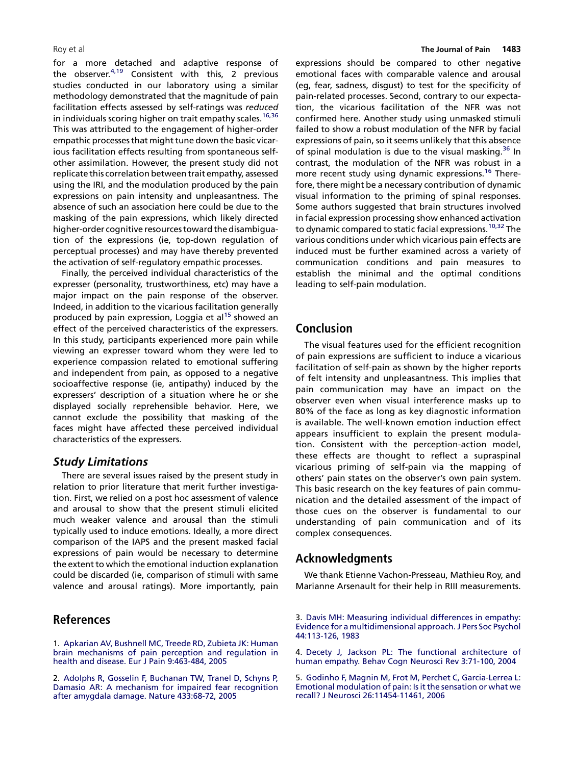<span id="page-8-0"></span>for a more detached and adaptive response of the observer. $4,19$  Consistent with this, 2 previous studies conducted in our laboratory using a similar methodology demonstrated that the magnitude of pain facilitation effects assessed by self-ratings was reduced in individuals scoring higher on trait empathy scales.<sup>[16,36](#page-9-0)</sup> This was attributed to the engagement of higher-order empathic processes that might tune down the basic vicarious facilitation effects resulting from spontaneous selfother assimilation. However, the present study did not replicate this correlation between trait empathy, assessed using the IRI, and the modulation produced by the pain expressions on pain intensity and unpleasantness. The absence of such an association here could be due to the masking of the pain expressions, which likely directed higher-order cognitive resources toward the disambiguation of the expressions (ie, top-down regulation of perceptual processes) and may have thereby prevented the activation of self-regulatory empathic processes.

Finally, the perceived individual characteristics of the expresser (personality, trustworthiness, etc) may have a major impact on the pain response of the observer. Indeed, in addition to the vicarious facilitation generally produced by pain expression, Loggia et al<sup>[15](#page-9-0)</sup> showed an effect of the perceived characteristics of the expressers. In this study, participants experienced more pain while viewing an expresser toward whom they were led to experience compassion related to emotional suffering and independent from pain, as opposed to a negative socioaffective response (ie, antipathy) induced by the expressers' description of a situation where he or she displayed socially reprehensible behavior. Here, we cannot exclude the possibility that masking of the faces might have affected these perceived individual characteristics of the expressers.

### Study Limitations

There are several issues raised by the present study in relation to prior literature that merit further investigation. First, we relied on a post hoc assessment of valence and arousal to show that the present stimuli elicited much weaker valence and arousal than the stimuli typically used to induce emotions. Ideally, a more direct comparison of the IAPS and the present masked facial expressions of pain would be necessary to determine the extent to which the emotional induction explanation could be discarded (ie, comparison of stimuli with same valence and arousal ratings). More importantly, pain

# References

1. [Apkarian AV, Bushnell MC, Treede RD, Zubieta JK: Human](http://refhub.elsevier.com/S1526-5900(13)01133-4/sref1) [brain mechanisms of pain perception and regulation in](http://refhub.elsevier.com/S1526-5900(13)01133-4/sref1) [health and disease. Eur J Pain 9:463-484, 2005](http://refhub.elsevier.com/S1526-5900(13)01133-4/sref1)

2. [Adolphs R, Gosselin F, Buchanan TW, Tranel D, Schyns P,](http://refhub.elsevier.com/S1526-5900(13)01133-4/sref2) [Damasio AR: A mechanism for impaired fear recognition](http://refhub.elsevier.com/S1526-5900(13)01133-4/sref2) [after amygdala damage. Nature 433:68-72, 2005](http://refhub.elsevier.com/S1526-5900(13)01133-4/sref2)

expressions should be compared to other negative emotional faces with comparable valence and arousal (eg, fear, sadness, disgust) to test for the specificity of pain-related processes. Second, contrary to our expectation, the vicarious facilitation of the NFR was not confirmed here. Another study using unmasked stimuli failed to show a robust modulation of the NFR by facial expressions of pain, so it seems unlikely that this absence of spinal modulation is due to the visual masking. $36$  In contrast, the modulation of the NFR was robust in a more recent study using dynamic expressions.<sup>[16](#page-9-0)</sup> Therefore, there might be a necessary contribution of dynamic visual information to the priming of spinal responses. Some authors suggested that brain structures involved in facial expression processing show enhanced activation to dynamic compared to static facial expressions.<sup>[10,32](#page-9-0)</sup> The various conditions under which vicarious pain effects are induced must be further examined across a variety of communication conditions and pain measures to establish the minimal and the optimal conditions leading to self-pain modulation.

# Conclusion

The visual features used for the efficient recognition of pain expressions are sufficient to induce a vicarious facilitation of self-pain as shown by the higher reports of felt intensity and unpleasantness. This implies that pain communication may have an impact on the observer even when visual interference masks up to 80% of the face as long as key diagnostic information is available. The well-known emotion induction effect appears insufficient to explain the present modulation. Consistent with the perception-action model, these effects are thought to reflect a supraspinal vicarious priming of self-pain via the mapping of others' pain states on the observer's own pain system. This basic research on the key features of pain communication and the detailed assessment of the impact of those cues on the observer is fundamental to our understanding of pain communication and of its complex consequences.

# Acknowledgments

We thank Etienne Vachon-Presseau, Mathieu Roy, and Marianne Arsenault for their help in RIII measurements.

3. [Davis MH: Measuring individual differences in empathy:](http://refhub.elsevier.com/S1526-5900(13)01133-4/sref3) [Evidence for a multidimensional approach. J Pers Soc Psychol](http://refhub.elsevier.com/S1526-5900(13)01133-4/sref3) [44:113-126, 1983](http://refhub.elsevier.com/S1526-5900(13)01133-4/sref3)

4. [Decety J, Jackson PL: The functional architecture of](http://refhub.elsevier.com/S1526-5900(13)01133-4/sref4) [human empathy. Behav Cogn Neurosci Rev 3:71-100, 2004](http://refhub.elsevier.com/S1526-5900(13)01133-4/sref4)

5. [Godinho F, Magnin M, Frot M, Perchet C, Garcia-Lerrea L:](http://refhub.elsevier.com/S1526-5900(13)01133-4/sref5) [Emotional modulation of pain: Is it the sensation or what we](http://refhub.elsevier.com/S1526-5900(13)01133-4/sref5) [recall? J Neurosci 26:11454-11461, 2006](http://refhub.elsevier.com/S1526-5900(13)01133-4/sref5)